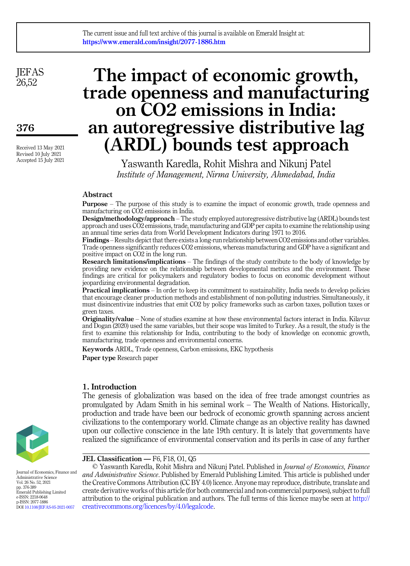**JEFAS** 26,52

376

Received 13 May 2021 Revised 10 July 2021 Accepted 15 July 2021

# The impact of economic growth, trade openness and manufacturing on CO2 emissions in India: an autoregressive distributive lag (ARDL) bounds test approach

Yaswanth Karedla, Rohit Mishra and Nikunj Patel Institute of Management, Nirma University, Ahmedabad, India

## Abstract

Purpose – The purpose of this study is to examine the impact of economic growth, trade openness and manufacturing on CO2 emissions in India.

Design/methodology/approach – The study employed autoregressive distributive lag (ARDL) bounds test approach and uses CO2 emissions, trade, manufacturing and GDP per capita to examine the relationship using an annual time series data from World Development Indicators during 1971 to 2016.

Findings – Results depict that there exists a long-run relationship between CO2 emissions and other variables. Trade openness significantly reduces CO2 emissions, whereas manufacturing and GDP have a significant and positive impact on CO2 in the long run.

Research limitations/implications – The findings of the study contribute to the body of knowledge by providing new evidence on the relationship between developmental metrics and the environment. These findings are critical for policymakers and regulatory bodies to focus on economic development without jeopardizing environmental degradation.

Practical implications – In order to keep its commitment to sustainability, India needs to develop policies that encourage cleaner production methods and establishment of non-polluting industries. Simultaneously, it must disincentivize industries that emit CO2 by policy frameworks such as carbon taxes, pollution taxes or green taxes.

Originality/value – None of studies examine at how these environmental factors interact in India. Kilavuz and Dogan (2020) used the same variables, but their scope was limited to Turkey. As a result, the study is the first to examine this relationship for India, contributing to the body of knowledge on economic growth, manufacturing, trade openness and environmental concerns.

Keywords ARDL, Trade openness, Carbon emissions, EKC hypothesis

Paper type Research paper

## 1. Introduction

The genesis of globalization was based on the idea of free trade amongst countries as promulgated by Adam Smith in his seminal work – The Wealth of Nations. Historically, production and trade have been our bedrock of economic growth spanning across ancient civilizations to the contemporary world. Climate change as an objective reality has dawned upon our collective conscience in the late 19th century. It is lately that governments have realized the significance of environmental conservation and its perils in case of any further

#### JEL Classification — F6, F18, O1, Q5

© Yaswanth Karedla, Rohit Mishra and Nikunj Patel. Published in Journal of Economics, Finance and Administrative Science. Published by Emerald Publishing Limited. This article is published under the Creative Commons Attribution (CC BY 4.0) licence. Anyone may reproduce, distribute, translate and create derivative works of this article (for both commercial and non-commercial purposes), subject to full attribution to the original publication and authors. The full terms of this licence maybe seen at [http://](http://creativecommons.org/licences/by/4.0/legalcode) [creativecommons.org/licences/by/4.0/legalcode](http://creativecommons.org/licences/by/4.0/legalcode).



Journal of Economics, Finance and Administrative Science Vol. 26 No. 52, 2021 pp. 376-389 Emerald Publishing Limited e-ISSN: 2218-0648 p-ISSN: 2077-1886 DOI [10.1108/JEFAS-05-2021-0057](https://doi.org/10.1108/JEFAS-05-2021-0057)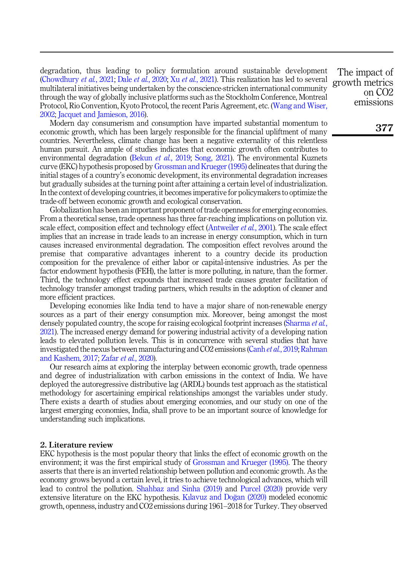degradation, thus leading to policy formulation around sustainable development ([Chowdhury](#page-11-0) *et al.*, 2021; Dale *et al.*[, 2020;](#page-11-1) Xu *et al.*[, 2021\)](#page-13-0). This realization has led to several multilateral initiatives being undertaken by the conscience-stricken international community through the way of globally inclusive platforms such as the Stockholm Conference, Montreal Protocol, Rio Convention, Kyoto Protocol, the recent Paris Agreement, etc. [\(Wang and Wiser,](#page-13-1) [2002;](#page-13-1) [Jacquet and Jamieson, 2016\)](#page-12-0).

Modern day consumerism and consumption have imparted substantial momentum to economic growth, which has been largely responsible for the financial upliftment of many countries. Nevertheless, climate change has been a negative externality of this relentless human pursuit. An ample of studies indicates that economic growth often contributes to environmental degradation ([Bekun](#page-11-2) *et al.*, 2019; [Song, 2021](#page-13-2)). The environmental Kuznets curve (EKC) hypothesis proposed by [Grossman and Krueger \(1995\)](#page-12-1) delineates that during the initial stages of a country's economic development, its environmental degradation increases but gradually subsides at the turning point after attaining a certain level of industrialization. In the context of developing countries, it becomes imperative for policymakers to optimize the trade-off between economic growth and ecological conservation.

Globalization has been an important proponent of trade openness for emerging economies. From a theoretical sense, trade openness has three far-reaching implications on pollution viz. scale effect, composition effect and technology effect [\(Antweiler](#page-11-3) et al., 2001). The scale effect implies that an increase in trade leads to an increase in energy consumption, which in turn causes increased environmental degradation. The composition effect revolves around the premise that comparative advantages inherent to a country decide its production composition for the prevalence of either labor or capital-intensive industries. As per the factor endowment hypothesis (FEH), the latter is more polluting, in nature, than the former. Third, the technology effect expounds that increased trade causes greater facilitation of technology transfer amongst trading partners, which results in the adoption of cleaner and more efficient practices.

Developing economies like India tend to have a major share of non-renewable energy sources as a part of their energy consumption mix. Moreover, being amongst the most densely populated country, the scope for raising ecological footprint increases ([Sharma](#page-13-3) et al., [2021\)](#page-13-3). The increased energy demand for powering industrial activity of a developing nation leads to elevated pollution levels. This is in concurrence with several studies that have investigated the nexus between manufacturing and CO2 emissions (Canh *et al.*[, 2019;](#page-11-4) [Rahman](#page-12-2) [and Kashem, 2017;](#page-12-2) Zafar et al.[, 2020\)](#page-13-4).

Our research aims at exploring the interplay between economic growth, trade openness and degree of industrialization with carbon emissions in the context of India. We have deployed the autoregressive distributive lag (ARDL) bounds test approach as the statistical methodology for ascertaining empirical relationships amongst the variables under study. There exists a dearth of studies about emerging economies, and our study on one of the largest emerging economies, India, shall prove to be an important source of knowledge for understanding such implications.

## 2. Literature review

EKC hypothesis is the most popular theory that links the effect of economic growth on the environment; it was the first empirical study of [Grossman and Krueger \(1995\).](#page-12-1) The theory asserts that there is an inverted relationship between pollution and economic growth. As the economy grows beyond a certain level, it tries to achieve technological advances, which will lead to control the pollution. [Shahbaz and Sinha \(2019\)](#page-13-5) and [Purcel \(2020\)](#page-12-3) provide very extensive literature on the EKC hypothesis. [K](#page-12-4)ı[lavuz and Dogan \(2020\)](#page-12-4) modeled economic growth, openness, industry and CO2 emissions during 1961–2018 for Turkey. They observed

The impact of growth metrics on CO2 emissions

377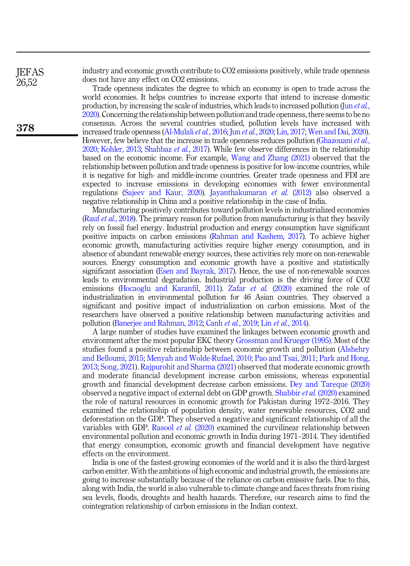industry and economic growth contribute to CO2 emissions positively, while trade openness does not have any effect on CO2 emissions.

Trade openness indicates the degree to which an economy is open to trade across the world economies. It helps countries to increase exports that intend to increase domestic production, by increasing the scale of industries, which leads to increased pollution (Jun *[et al.](#page-12-5)*, [2020\)](#page-12-5). Concerning the relationship between pollution and trade openness, there seems to be no consensus. Across the several countries studied, pollution levels have increased with increased trade openness [\(Al-Mulali](#page-11-5) *et al.*, 2016; Jun *et al.*[, 2020](#page-12-5); [Lin, 2017](#page-12-6); [Wen and Dai, 2020\)](#page-13-6). However, few believe that the increase in trade openness reduces pollution [\(Ghazouani](#page-11-6) et al., [2020;](#page-11-6) [Kohler, 2013;](#page-12-7) [Shahbaz](#page-13-7) et al., 2017). While few observe differences in the relationship based on the economic income. For example, [Wang and Zhang \(2021\)](#page-13-8) observed that the relationship between pollution and trade openness is positive for low-income countries, while it is negative for high- and middle-income countries. Greater trade openness and FDI are expected to increase emissions in developing economies with fewer environmental regulations ([Sajeev and Kaur, 2020](#page-13-9)). [Jayanthakumaran](#page-12-8) et al. (2012) also observed a negative relationship in China and a positive relationship in the case of India.

Manufacturing positively contributes toward pollution levels in industrialized economies (Rauf *et al.*[, 2018\)](#page-13-10). The primary reason for pollution from manufacturing is that they heavily rely on fossil fuel energy. Industrial production and energy consumption have significant positive impacts on carbon emissions [\(Rahman and Kashem, 2017](#page-12-2)). To achieve higher economic growth, manufacturing activities require higher energy consumption, and in absence of abundant renewable energy sources, these activities rely more on non-renewable sources. Energy consumption and economic growth have a positive and statistically significant association [\(Esen and Bayrak, 2017\)](#page-11-7). Hence, the use of non-renewable sources leads to environmental degradation. Industrial production is the driving force of CO2 emissions [\(Hocaoglu and Karanfil, 2011\)](#page-12-9). Zafar *et al.* [\(2020\)](#page-13-4) examined the role of industrialization in environmental pollution for 46 Asian countries. They observed a significant and positive impact of industrialization on carbon emissions. Most of the researchers have observed a positive relationship between manufacturing activities and pollution ([Banerjee and Rahman, 2012;](#page-11-8) Canh et al.[, 2019;](#page-11-4) Lin et al.[, 2014\)](#page-12-10).

A large number of studies have examined the linkages between economic growth and environment after the most popular EKC theory [Grossman and Krueger \(1995\)](#page-12-1). Most of the studies found a positive relationship between economic growth and pollution [\(Alshehry](#page-11-9) [and Belloumi, 2015;](#page-11-9) [Menyah and Wolde-Rufael, 2010;](#page-12-11) [Pao and Tsai, 2011](#page-12-12); [Park and Hong,](#page-12-13) [2013](#page-12-13); [Song, 2021\)](#page-13-2). [Rajpurohit and Sharma \(2021\)](#page-12-14) observed that moderate economic growth and moderate financial development increase carbon emissions, whereas exponential growth and financial development decrease carbon emissions. [Dey and Tareque \(2020\)](#page-11-10) observed a negative impact of external debt on GDP growth. [Shabbir](#page-13-11) et al. (2020) examined the role of natural resources in economic growth for Pakistan during 1972–2016. They examined the relationship of population density, water renewable resources, CO2 and deforestation on the GDP. They observed a negative and significant relationship of all the variables with GDP. [Rasool](#page-12-15) et al. (2020) examined the curvilinear relationship between environmental pollution and economic growth in India during 1971–2014. They identified that energy consumption, economic growth and financial development have negative effects on the environment.

India is one of the fastest-growing economies of the world and it is also the third-largest carbon emitter. With the ambitions of high economic and industrial growth, the emissions are going to increase substantially because of the reliance on carbon emissive fuels. Due to this, along with India, the world is also vulnerable to climate change and faces threats from rising sea levels, floods, droughts and health hazards. Therefore, our research aims to find the cointegration relationship of carbon emissions in the Indian context.

**IEFAS** 26,52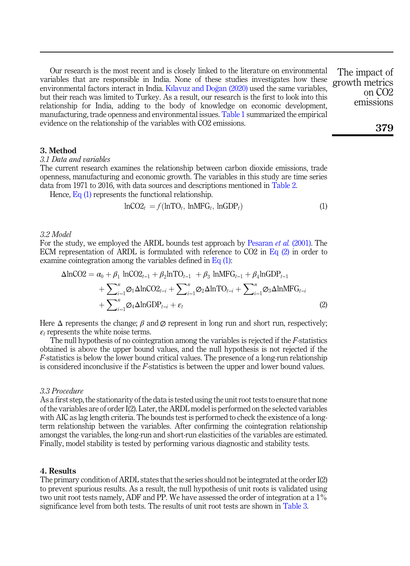Our research is the most recent and is closely linked to the literature on environmental variables that are responsible in India. None of these studies investigates how these environmental factors interact in India. [K](#page-12-4)ı[lavuz and Dogan \(2020\)](#page-12-4) used the same variables, but their reach was limited to Turkey. As a result, our research is the first to look into this relationship for India, adding to the body of knowledge on economic development, manufacturing, trade openness and environmental issues. [Table 1](#page-4-0) summarized the empirical evidence on the relationship of the variables with CO2 emissions. The impact of growth metrics

3. Method

## 3.1 Data and variables

The current research examines the relationship between carbon dioxide emissions, trade openness, manufacturing and economic growth. The variables in this study are time series data from 1971 to 2016, with data sources and descriptions mentioned in [Table 2.](#page-7-0)

<span id="page-3-0"></span>Hence, [Eq \(1\)](#page-3-0) represents the functional relationship.

$$
lnCO2t = f(lnTOt, lnMFGt, lnGDPt)
$$
 (1)

#### 3.2 Model

<span id="page-3-1"></span>For the study, we employed the ARDL bounds test approach by [Pesaran](#page-12-16) et al. (2001). The ECM representation of ARDL is formulated with reference to  $CO2$  in [Eq \(2\)](#page-3-1) in order to examine cointegration among the variables defined in [Eq \(1\):](#page-3-0)

$$
\Delta \ln CO2 = \alpha_0 + \beta_1 \ln CO2_{t-1} + \beta_2 \ln TO_{t-1} + \beta_3 \ln MFG_{t-1} + \beta_4 \ln GDP_{t-1} + \sum_{i=1}^n \varnothing_1 \Delta \ln CO2_{t-i} + \sum_{i=1}^n \varnothing_2 \Delta \ln TO_{t-i} + \sum_{i=1}^n \varnothing_3 \Delta \ln MFG_{t-i} + \sum_{i=1}^n \varnothing_4 \Delta \ln GDP_{t-i} + \varepsilon_t
$$
\n(2)

Here  $\Delta$  represents the change;  $\beta$  and  $\varnothing$  represent in long run and short run, respectively;  $\varepsilon_t$  represents the white noise terms.

The null hypothesis of no cointegration among the variables is rejected if the  $F$ -statistics obtained is above the upper bound values, and the null hypothesis is not rejected if the F-statistics is below the lower bound critical values. The presence of a long-run relationship is considered inconclusive if the F-statistics is between the upper and lower bound values.

### 3.3 Procedure

As a first step, the stationarity of the data is tested using the unit root tests to ensure that none of the variables are of order I(2). Later, the ARDL model is performed on the selected variables with AIC as lag length criteria. The bounds test is performed to check the existence of a longterm relationship between the variables. After confirming the cointegration relationship amongst the variables, the long-run and short-run elasticities of the variables are estimated. Finally, model stability is tested by performing various diagnostic and stability tests.

## 4. Results

The primary condition of ARDL states that the series should not be integrated at the order I(2) to prevent spurious results. As a result, the null hypothesis of unit roots is validated using two unit root tests namely, ADF and PP. We have assessed the order of integration at a 1% significance level from both tests. The results of unit root tests are shown in [Table 3](#page-7-0).

379

on CO2 emissions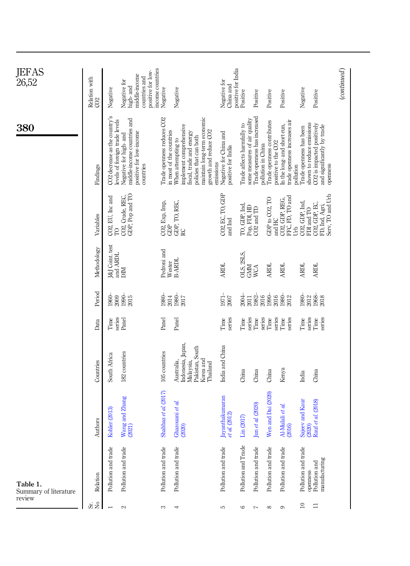<span id="page-4-0"></span>

| JEFAS<br>26,52                    | Relation with<br>CO2 | Negative                                                        | positive for low-<br>middle-income<br>countries and<br>Negative for<br>high- and              | income countries<br>Negative | Negative                                                                                                                                                                                             | positive for India<br>Negative for<br>China and | Positive                   | Positive                                                                           | Positive                                          | Positive                                                    | Negative                                                          | Positive                                                             | $_{(continued)}$ |
|-----------------------------------|----------------------|-----------------------------------------------------------------|-----------------------------------------------------------------------------------------------|------------------------------|------------------------------------------------------------------------------------------------------------------------------------------------------------------------------------------------------|-------------------------------------------------|----------------------------|------------------------------------------------------------------------------------|---------------------------------------------------|-------------------------------------------------------------|-------------------------------------------------------------------|----------------------------------------------------------------------|------------------|
| 380                               | Findings             | CO2 decrease as the country's<br>levels of foreign trade levels | middle-income countries and<br>positive for low-income<br>Negative for high- and<br>countries | Trade openness reduces CO2   | maintain long-term economic<br>implement comprehensive<br>in most of the countries<br>growth and reduce CO2<br>fiscal, trade and energy<br>policies that can both<br>When attempting to<br>emissions | Negative for China and<br>positive for India    | Trade affects harmfully to | Trade openness has increased<br>some measures of air quality<br>pollution in China | Trade openness contributes<br>positive to the CO2 | trade openness increases air<br>In the long- and short-run, | shown to reduce emissions<br>Trade openness has been<br>pollution | CO2 is impacted positively<br>and significantly by trade<br>openness |                  |
|                                   | Variables            | CO2, EU, Inc and<br>TO                                          | GDP, Pop and TO<br>CO2, Crude, REC,                                                           | CO2, Exp, Imp,<br>GDP        | GDP, TO, REC,<br>RC                                                                                                                                                                                  | CO2, EC, TO, GDP<br>and Ind                     | I'O, GDP, Ind,             | Pop, FDI, HD<br>CO2 and TD                                                         | GDP to CO2, TO<br>and HC                          | FFC, FD, TO and<br>CO2, GDP, REG,                           | CO2, GDP, Ind,<br>FDI and TO<br><b>J</b>                          | Serv, TO and Urb<br>CO2, GDP, EC,<br>FD, Ind, Agri,                  |                  |
|                                   | Methodology          | J&J Coint. test<br>and ARDL                                     | MIC                                                                                           | Pedroni and                  | Wester<br>B-ARDL                                                                                                                                                                                     | <b>ARDL</b>                                     | DLS, 2SLS,                 | GMM<br>WCA                                                                         | <b>ARDL</b>                                       | <b>ARDL</b>                                                 | <b>ARDL</b>                                                       | <b>ARDL</b>                                                          |                  |
|                                   | Period               |                                                                 | 38855<br>2885                                                                                 | 1980-                        | 2014<br>1980-<br>2017                                                                                                                                                                                | $1971-$<br>2007                                 | $\frac{2004}{2011}$        | 1982-<br>2016                                                                      | $1990 -$<br>2016                                  | 1980<br>2012                                                | $1980 -$<br>2012                                                  | 1968<br>2018                                                         |                  |
|                                   | Data                 | series<br>Time                                                  | Panel                                                                                         | Panel                        | Panel                                                                                                                                                                                                | series<br>Time                                  | Time                       | series<br>Time<br>series                                                           | series<br><b>Time</b>                             | series<br>Time                                              | series<br>Time                                                    | series<br>Time                                                       |                  |
|                                   | Countries            | South Africa                                                    | 182 countries                                                                                 | 105 countries                | Indonesia, Japan,<br>Malaysia,<br>Pakistan, South<br>Korea and<br>Australia,<br>Thailand                                                                                                             | India and China                                 | China                      | China                                                                              | China                                             | Kenya                                                       | India                                                             | China                                                                |                  |
|                                   | Authors              | Kohler (2013)                                                   | Wang and Zhang<br>(2021)                                                                      | Shahbaz et al. (2017)        | Ghazouani et al.<br>$(2020)$                                                                                                                                                                         | Jayanthakumaran<br>al (2012)<br>ď               | Lin (2017)                 | $\mbox{Jun}$ et al. (2020)                                                         | en and Dai (2020)<br>⋝                            | Al-Mulali et al.<br>(2016)                                  | Sajeev and Kaur<br>(2020)<br>Rauf <i>et al.</i> (2018)            |                                                                      |                  |
| Table 1.<br>Summary of literature | Relation             | Pollution and trade                                             | Pollution and trade                                                                           | Pollution and trade          | Pollution and trade                                                                                                                                                                                  | Pollution and trade                             | Pollution and Trade        | Pollution and trade                                                                | Pollution and trade                               | Pollution and trade                                         | Pollution and trade<br>openness                                   | manufacturing<br>Pollution and                                       |                  |
| review                            | க் ž                 |                                                                 | 2                                                                                             | S                            | 4                                                                                                                                                                                                    | 5                                               | $\circ$                    | $\overline{ }$                                                                     | ${}^{\circ}$                                      | $\circ$                                                     | $\approx$                                                         | $\Xi$                                                                |                  |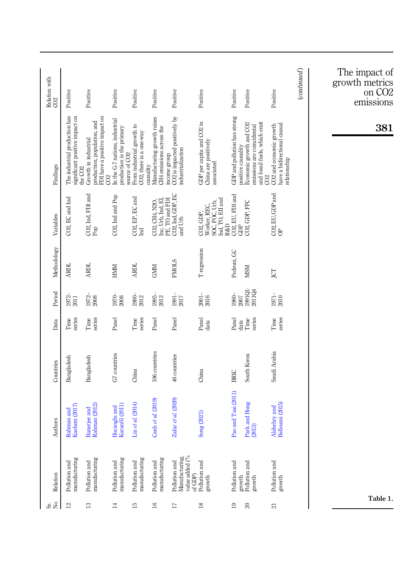|                      |                                                                 |                                                                                                   |                                                                                                      |                                                      |                                                                      |                                                                    |                                                                 |                                                            |                                                                                                                                |                                                                        |                  | The impact of<br>growth metrics<br>on CO2 |
|----------------------|-----------------------------------------------------------------|---------------------------------------------------------------------------------------------------|------------------------------------------------------------------------------------------------------|------------------------------------------------------|----------------------------------------------------------------------|--------------------------------------------------------------------|-----------------------------------------------------------------|------------------------------------------------------------|--------------------------------------------------------------------------------------------------------------------------------|------------------------------------------------------------------------|------------------|-------------------------------------------|
| Relation with<br>CO2 | Positive                                                        | Positive                                                                                          | Positive                                                                                             | Positive                                             | Positive                                                             | Positive                                                           | Positive                                                        | Positive                                                   | Positive                                                                                                                       | Positive                                                               | $_{(continued)}$ | emissions                                 |
| Findings             | The industrial production has<br>significant positive impact on | FDI have a positive impact on<br>production, population, and<br>Growth in industrial<br>the $CO2$ | In the G-7 nations, industrial<br>production is the primary<br>source of CO <sub>2</sub><br>$\infty$ | From industrial growth to<br>CO2, there is a one-way | Manufacturing growth raises<br>CH4 emissions across the<br>causality | income group<br>CO2 is impacted positively by<br>industrialization | GDP per capita and CO2 in<br>China are positively<br>associated | GDP and pollution has strong                               | emissions are coincidental<br>and fossil fuels, which emit<br>Economic growth and CO2<br>positive causality<br>CO <sub>2</sub> | CO2 and economic growth<br>have a bidirectional causal<br>relationship |                  | 381                                       |
| Variables            | CO2, EC and Ind                                                 | CO2, Ind, FDI and<br>Pop                                                                          | CO2, Ind and Pop                                                                                     | CO2, EP, EC and<br>Ind                               | Inc, Urb, İnd, EI,<br>PE, TO and FDI<br>CO2, CH4, N2O,               | CO2, Ind, GDP, EC<br>and Urb                                       | SOC, FOC, Urb,<br>Ind, TO, EII and<br>Worker, REC,<br>CO2, GDP, | CO2, EU, FDI and<br>GDP<br>CO2, GDP, FFC<br><b>R&amp;D</b> |                                                                                                                                | $CO2, EU, GDP$ and $OP$                                                |                  |                                           |
| Methodology          | <b>ARDL</b>                                                     | <b>ARDL</b>                                                                                       | HNIM                                                                                                 | <b>ARDL</b>                                          | <b>GNM</b>                                                           | <b>FMOLS</b>                                                       | T-regression                                                    | Pedroni, GC                                                | <b>MSM</b>                                                                                                                     | JCT                                                                    |                  |                                           |
| Period               | $1972 -$<br>2011                                                | $\begin{array}{l} 1972- \\ 2008 \end{array}$                                                      | $\frac{1970}{2008}$                                                                                  | $1980 - 2012$                                        | $1995-\\2012$                                                        | $1991 -$<br>2017                                                   | $2001 -$<br>2016                                                | 1980-<br>2007                                              | 1991Q1-<br>2011Q4                                                                                                              | $\begin{array}{l} 1971- \\ 2010 \end{array}$                           |                  |                                           |
| Data                 | series<br>Time                                                  | series<br>Time                                                                                    | Panel                                                                                                | series<br>Time                                       | Panel                                                                | Panel                                                              | Panel<br>data                                                   | Panel                                                      | series<br>Time<br>data                                                                                                         | series<br>Time                                                         |                  |                                           |
| Countries            | Bangladesh                                                      | Bangladesh                                                                                        | G7 countries                                                                                         | China                                                | 106 countries                                                        | 46 countries                                                       | China                                                           | BRIC                                                       | South Korea                                                                                                                    | Saudi Arabia                                                           |                  |                                           |
| uthors<br>₹          | Rahman and<br>Kashem (2017)                                     | Banerjee and<br>Rahman (2012)                                                                     | Hocaoglu and<br>Karanfil (2011)                                                                      | Lin et al. (2014)                                    | Canh et al. (2019)                                                   | Zafar et al. (2020)                                                | Song (2021)                                                     | Pao and Tsai (2011)                                        | Park and Hong<br>(2013)                                                                                                        | Alshehry and<br>Belloumi (2015)                                        |                  |                                           |
| Relation             | manufacturing<br>Pollution and                                  | manufacturing<br>Pollution and                                                                    | manufacturing<br>Pollution and                                                                       | manufacturing<br>Pollution and                       | manufacturing<br>Pollution and                                       | value added (%<br>Manufacturing,<br>Pollution and<br>of GDP)       | Pollution and<br>growth                                         | Pollution and                                              | Pollution and<br>growth<br>growth                                                                                              | Pollution and<br>growth                                                |                  |                                           |
| $\sigma \gtrsim$     | $\mathbb{Z}$                                                    | $\mathrel{\mathop:}^{\mathrel{\mathop:}}$                                                         | $\sharp$                                                                                             | 乌                                                    | $\overline{6}$                                                       | Ħ                                                                  | $\overline{18}$                                                 | $\overline{19}$                                            | $\bowtie$                                                                                                                      | $\overline{\mathcal{E}}$                                               |                  | Table 1.                                  |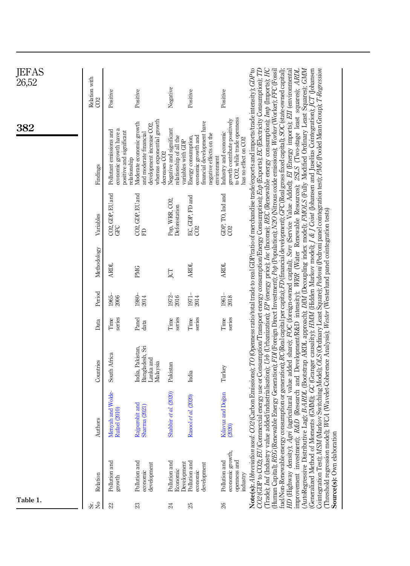| JEFAS<br>26,52 |                      |                                                                                               |                                                                                                                                            |                                                                           |                                                                                                                    |                                                                                                               |                                                                                                                                                                                                                                                                                                                                                                                                                                                                                                                                                                                                                                                                                                                                                                                                                                                                                                                                                                                                                                                                                                                                                                                                                                                                                                                                                                                                                                                                                                                               |
|----------------|----------------------|-----------------------------------------------------------------------------------------------|--------------------------------------------------------------------------------------------------------------------------------------------|---------------------------------------------------------------------------|--------------------------------------------------------------------------------------------------------------------|---------------------------------------------------------------------------------------------------------------|-------------------------------------------------------------------------------------------------------------------------------------------------------------------------------------------------------------------------------------------------------------------------------------------------------------------------------------------------------------------------------------------------------------------------------------------------------------------------------------------------------------------------------------------------------------------------------------------------------------------------------------------------------------------------------------------------------------------------------------------------------------------------------------------------------------------------------------------------------------------------------------------------------------------------------------------------------------------------------------------------------------------------------------------------------------------------------------------------------------------------------------------------------------------------------------------------------------------------------------------------------------------------------------------------------------------------------------------------------------------------------------------------------------------------------------------------------------------------------------------------------------------------------|
|                | Relation with<br>CO2 | Positive                                                                                      | Positive                                                                                                                                   | Negative                                                                  | Positive                                                                                                           | Positive                                                                                                      |                                                                                                                                                                                                                                                                                                                                                                                                                                                                                                                                                                                                                                                                                                                                                                                                                                                                                                                                                                                                                                                                                                                                                                                                                                                                                                                                                                                                                                                                                                                               |
| 382            | Findings             | economic growth have a<br>Pollutant emissions and<br>positive and significant<br>relationship | whereas exponential growth<br>Moderate economic growth<br>development increase CO2,<br>and moderate financial<br>decreases CO <sub>2</sub> | Negative and significant<br>relationship of all the<br>variables with GDP | financial development have<br>negative effects on the<br>economic growth and<br>Energy consumption,<br>environment | growth contribute positively<br>to CO2, while trade openness<br>Industry and economic<br>has no effect on CO2 | CO2 (Carbon Emissions); TO (Openness ratio/total trade to real GDP/ratio of merchandise trade/exports and imports/trade intensity); GDP to<br>CO2 (GDP to CO2); EU (Commercial energy use or Consumption/Transport energy consumption/Energy Consumption); Exp (Exports); EC (Electricity Consumption); TD<br>(Trade); Ind (Industry value added/industrialisation); Urb (Urbanization); EP (energy price); Inc (Income); REC (Renewable energy consumption); Imp (Imports); HC<br>R&D (Research and Development/R&D intensity); WRR (Water Renewable Resources); 2SLS (Two-stage least squares); ARDL<br>(AutoRegressive Distributive Lag); B-ARDL (Bootstrap ARDL approach); DIM (Decoupling index model); FN/OLS (Fully Modified Ordinary Least Squares); GMM<br>(Generalized Method of Moments (GMM)); GC (Granger causality); <i>HMM</i> (Hidden Markov model); J & J Coint (Johansen and Juselius Cointegration); JCT (Johansen<br>Cointegration Test); MSM (Markov Switching Model); OLS (Ordinary<br>tuel/Non-Renewable energy consumption or generation); RC (Real capital per capita); RD (financial development); GFC (Real gross fixed capital); SOC (state-owned capital);<br>HD (Highway density); Agri (agricultural value added share); FOC (foreign-owned capital); Serv (Service Value Added); El (Energy imports); Ell (environmental<br>(Human Capital); REG (Renewable Energy Generation); FDJ (Foreign Direct Investment); Pop (Population); N2O (Nitrous oxide emissions); Worker (Worker); FFC (Fossi |
|                | Variables            | CO2, GDP, EU and<br>GFC                                                                       | CO2, GDP, EU and<br>FD                                                                                                                     | Pop, WRR, CO2,<br>Deforestation                                           | EC, GDP, FD and<br>CO2                                                                                             | GDP, TO, $\ln d$ and $\cos 2$                                                                                 |                                                                                                                                                                                                                                                                                                                                                                                                                                                                                                                                                                                                                                                                                                                                                                                                                                                                                                                                                                                                                                                                                                                                                                                                                                                                                                                                                                                                                                                                                                                               |
|                | Methodology          | ARDL                                                                                          | PMG                                                                                                                                        | <b>ICT</b>                                                                | <b>ARDL</b>                                                                                                        | <b>ARDL</b>                                                                                                   |                                                                                                                                                                                                                                                                                                                                                                                                                                                                                                                                                                                                                                                                                                                                                                                                                                                                                                                                                                                                                                                                                                                                                                                                                                                                                                                                                                                                                                                                                                                               |
|                | Period               | 1965-<br>2006                                                                                 | $1980 -$<br>$2014$                                                                                                                         | 1972-<br>2016                                                             | $\frac{1971}{2014}$                                                                                                | $1961 -$<br>2018                                                                                              |                                                                                                                                                                                                                                                                                                                                                                                                                                                                                                                                                                                                                                                                                                                                                                                                                                                                                                                                                                                                                                                                                                                                                                                                                                                                                                                                                                                                                                                                                                                               |
|                | Data                 | series<br>Time                                                                                | Panel<br>data                                                                                                                              | series<br>Time                                                            | series<br>Time                                                                                                     | series<br>Time                                                                                                |                                                                                                                                                                                                                                                                                                                                                                                                                                                                                                                                                                                                                                                                                                                                                                                                                                                                                                                                                                                                                                                                                                                                                                                                                                                                                                                                                                                                                                                                                                                               |
|                | Countries            | South Africa                                                                                  | Bangladesh, Sri<br>India, Pakistan,<br>Lanka and<br>Malaysia                                                                               | Pakistan                                                                  | India                                                                                                              | Turkey                                                                                                        |                                                                                                                                                                                                                                                                                                                                                                                                                                                                                                                                                                                                                                                                                                                                                                                                                                                                                                                                                                                                                                                                                                                                                                                                                                                                                                                                                                                                                                                                                                                               |
|                | Authors              | Menyah and Wolde-<br>Rufael (2010)                                                            | Rajpurohit and<br>Sharma (2021)                                                                                                            | Shabbir et al. (2020)                                                     | Rasool et al. (2020)                                                                                               | Kılavuz and Doğan<br>(2020)                                                                                   | (Threshold regression model); WCA (Wavelet-Coherence Analysis); Wester (Westerlund panel cointegration tests)                                                                                                                                                                                                                                                                                                                                                                                                                                                                                                                                                                                                                                                                                                                                                                                                                                                                                                                                                                                                                                                                                                                                                                                                                                                                                                                                                                                                                 |
|                | Relation             | Pollution and<br>growth                                                                       | Pollution and<br>development<br>economic                                                                                                   | Pollution and<br>Development<br>Economic                                  | Pollution and<br>development<br>economic                                                                           | economic growth,<br>Pollution and<br>openness and<br>industry                                                 | Source(s): Own elaboration<br>Note(s): Abbreviation used:<br>improvement investment);                                                                                                                                                                                                                                                                                                                                                                                                                                                                                                                                                                                                                                                                                                                                                                                                                                                                                                                                                                                                                                                                                                                                                                                                                                                                                                                                                                                                                                         |
| Table 1.       | $\gtrsim$<br>òδ.     | S                                                                                             | ೫                                                                                                                                          | ಸ                                                                         | R                                                                                                                  | $\mathscr{E}$                                                                                                 |                                                                                                                                                                                                                                                                                                                                                                                                                                                                                                                                                                                                                                                                                                                                                                                                                                                                                                                                                                                                                                                                                                                                                                                                                                                                                                                                                                                                                                                                                                                               |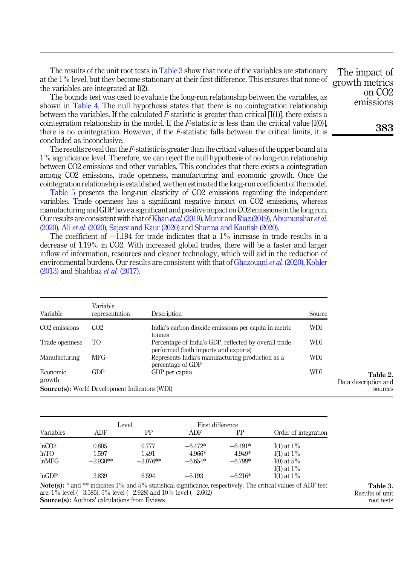<span id="page-7-0"></span>The results of the unit root tests in Table 3 show that none of the variables are stationary at the 1% level, but they become stationary at their first difference. This ensures that none of the variables are integrated at I(2).

The bounds test was used to evaluate the long-run relationship between the variables, as shown in [Table 4.](#page-8-0) The null hypothesis states that there is no cointegration relationship between the variables. If the calculated F-statistic is greater than critical  $[I(1)]$ , there exists a cointegration relationship in the model. If the F-statistic is less than the critical value  $[I(0)]$ , there is no cointegration. However, if the  $F$ -statistic falls between the critical limits, it is concluded as inconclusive.

The results reveal that the  $F$ -statistic is greater than the critical values of the upper bound at a 1% significance level. Therefore, we can reject the null hypothesis of no long-run relationship between CO2 emissions and other variables. This concludes that there exists a cointegration among CO2 emissions, trade openness, manufacturing and economic growth. Once the cointegration relationship is established, we then estimated the long-run coefficient of the model.

[Table 5](#page-8-0) presents the long-run elasticity of CO2 emissions regarding the independent variables. Trade openness has a significant negative impact on CO2 emissions, whereas manufacturing and GDP have a significant and positive impact on CO2 emissionsin the long run. Our results are consistent with that of Khan *et al.* [\(2019\)](#page-12-17), Munir and Riaz (2019), [Abumunshar](#page-11-11) *et al.* [\(2020\),](#page-11-11) Ali et al. [\(2020\),](#page-11-12) [Sajeev and Kaur \(2020\)](#page-13-9) and [Sharma and Kautish \(2020\)](#page-13-12).

The coefficient of  $-1.194$  for trade indicates that a  $1\%$  increase in trade results in a decrease of 1.19% in CO2. With increased global trades, there will be a faster and larger inflow of information, resources and cleaner technology, which will aid in the reduction of environmental burdens. Our results are consistent with that of [Ghazouani](#page-11-6) et al. (2020), [Kohler](#page-12-7) [\(2013\)](#page-12-7) and [Shahbaz](#page-13-7) et al. (2017).

| Variable           | Variable<br>representation                           | Description                                                                                   | Source |
|--------------------|------------------------------------------------------|-----------------------------------------------------------------------------------------------|--------|
| $CO2$ emissions    | CO <sub>2</sub>                                      | India's carbon dioxide emissions per capita in metric<br>tonnes                               | WDI    |
| Trade openness     | TO.                                                  | Percentage of India's GDP, reflected by overall trade<br>performed (both imports and exports) | WDI    |
| Manufacturing      | <b>MFG</b>                                           | Represents India's manufacturing production as a<br>percentage of GDP                         | WDI    |
| Economic<br>growth | GDP                                                  | GDP per capita                                                                                | WDI    |
|                    | <b>Source(s):</b> World Development Indicators (WDI) |                                                                                               |        |

|           |                                                                           | Level      |           | First difference |                                                                                                                          |
|-----------|---------------------------------------------------------------------------|------------|-----------|------------------|--------------------------------------------------------------------------------------------------------------------------|
| Variables | ADF                                                                       | РP         | ADF       | PP               | Order of integration                                                                                                     |
| lnCO2     | 0.805                                                                     | 0.777      | $-6.472*$ | $-6.491*$        | $I(1)$ at $1\%$                                                                                                          |
| lnTO      | $-1.597$                                                                  | $-1.491$   | $-4.966*$ | $-4.949*$        | I(1) at $1\%$                                                                                                            |
| lnMFG     | $-2.930**$                                                                | $-3.076**$ | $-6.654*$ | $-6.799*$        | I(0) at $5\%$                                                                                                            |
|           |                                                                           |            |           |                  | I(1) at $1\%$                                                                                                            |
| lnGDP     | 3.839                                                                     | 6.594      | $-6.193$  | $-6.216*$        | I(1) at $1\%$                                                                                                            |
|           |                                                                           |            |           |                  | <b>Note(s):</b> $*$ and $**$ indicates 1% and 5% statistical significance, respectively. The critical values of ADF test |
|           | are: $1\%$ level (-3.585), $5\%$ level (-2.928) and $10\%$ level (-2.602) |            |           |                  |                                                                                                                          |
|           | <b>Source(s):</b> Authors' calculations from Eviews                       |            |           |                  |                                                                                                                          |

The impact of growth metrics on CO2 emissions

383

Table 2. Data description and sources

Table 3. Results of unit root tests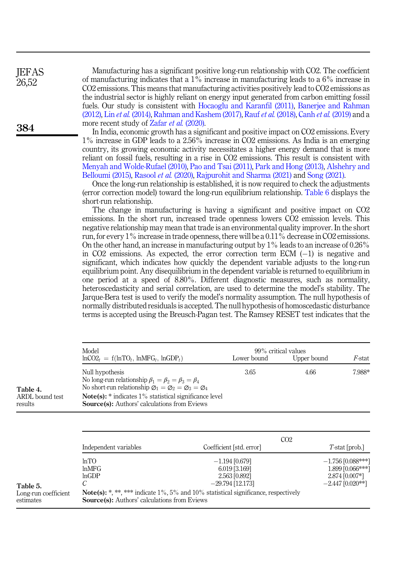Manufacturing has a significant positive long-run relationship with CO2. The coefficient of manufacturing indicates that a 1% increase in manufacturing leads to a 6% increase in CO2 emissions. This means that manufacturing activities positively lead to CO2 emissions as the industrial sector is highly reliant on energy input generated from carbon emitting fossil fuels. Our study is consistent with [Hocaoglu and Karanfil \(2011\)](#page-12-9), [Banerjee and Rahman](#page-11-8) [\(2012\),](#page-11-8) Lin et al. [\(2014\)](#page-12-10), [Rahman and Kashem \(2017\),](#page-12-2) Rauf et al. [\(2018\),](#page-13-10) Canh et al. [\(2019\)](#page-11-4) and a more recent study of Zafar et al. [\(2020\).](#page-13-4)

In India, economic growth has a significant and positive impact on CO2 emissions. Every 1% increase in GDP leads to a 2.56% increase in CO2 emissions. As India is an emerging country, its growing economic activity necessitates a higher energy demand that is more reliant on fossil fuels, resulting in a rise in CO2 emissions. This result is consistent with [Menyah and Wolde-Rufael \(2010\),](#page-12-11) [Pao and Tsai \(2011\)](#page-12-12), [Park and Hong \(2013\)](#page-12-13), [Alshehry and](#page-11-9) [Belloumi \(2015\),](#page-11-9) [Rasool](#page-12-15) et al. (2020), [Rajpurohit and Sharma \(2021\)](#page-12-14) and [Song \(2021\)](#page-13-2).

Once the long-run relationship is established, it is now required to check the adjustments (error correction model) toward the long-run equilibrium relationship. [Table 6](#page-9-0) displays the short-run relationship.

The change in manufacturing is having a significant and positive impact on CO2 emissions. In the short run, increased trade openness lowers CO2 emission levels. This negative relationship may mean that trade is an environmental quality improver. In the short run, for every  $1\%$  increase in trade openness, there will be a 0.11% decrease in CO2 emissions. On the other hand, an increase in manufacturing output by  $1\%$  leads to an increase of 0.26% in CO2 emissions. As expected, the error correction term ECM (-1) is negative and significant, which indicates how quickly the dependent variable adjusts to the long-run equilibrium point. Any disequilibrium in the dependent variable is returned to equilibrium in one period at a speed of 8.80%. Different diagnostic measures, such as normality, heteroscedasticity and serial correlation, are used to determine the model's stability. The Jarque-Bera test is used to verify the model's normality assumption. The null hypothesis of normally distributed residuals is accepted. The null hypothesis of homoscedastic disturbance terms is accepted using the Breusch-Pagan test. The Ramsey RESET test indicates that the

> 1.899 [0.066\*\*\*]  $2.874 [0.007*]$

 $-2.447$  [0.020\*\*]

|                                        | Model<br>$lnCO2_t = f(lnTO_t, lnMFG_t, lnGDP_t)$                                                                                                                                                                                                                                                     | Lower bound              | 99% critical values<br>Upper bound | <i>F</i> -stat        |
|----------------------------------------|------------------------------------------------------------------------------------------------------------------------------------------------------------------------------------------------------------------------------------------------------------------------------------------------------|--------------------------|------------------------------------|-----------------------|
| Table 4.<br>ARDL bound test<br>results | Null hypothesis<br>No long-run relationship $\beta_1 = \beta_2 = \beta_3 = \beta_4$<br>No short-run relationship $\varnothing_1 = \varnothing_2 = \varnothing_3 = \varnothing_4$<br>$Note(s): * indicates 1\% statistical significance level$<br><b>Source(s):</b> Authors' calculations from Eviews | 3.65                     | 4.66                               | 7.988*                |
|                                        | Independent variables                                                                                                                                                                                                                                                                                | Coefficient [std. error] | CO <sub>2</sub>                    | $T$ -stat [prob.]     |
|                                        | lnTO                                                                                                                                                                                                                                                                                                 | $-1.194$ [0.679]         |                                    | $-1.756$ $[0.088***]$ |

|                                   | ln TO<br>lnMFG                                                                                                                                      | $-1.194\ [0.679]$<br>6.019 [3.169]  |  |  |  |  |
|-----------------------------------|-----------------------------------------------------------------------------------------------------------------------------------------------------|-------------------------------------|--|--|--|--|
| Table 5.                          | lnGDP                                                                                                                                               | 2.563 [0.892]<br>$-29.794$ [12.173] |  |  |  |  |
| Long-run coefficient<br>estimates | <b>Note(s):</b> *.**. *** indicate $1\%$ , 5% and 10% statistical significance, respectively<br><b>Source(s):</b> Authors' calculations from Eviews |                                     |  |  |  |  |

<span id="page-8-0"></span>**IEFAS** 26,52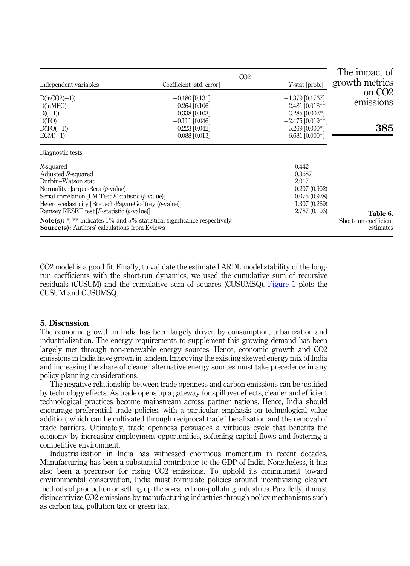<span id="page-9-0"></span>

| Independent variables                                                                                                                                                                                                                                                                                                          | CO <sub>2</sub><br>Coefficient [std. error]                                           | $T$ -stat [prob.]                                                                          | The impact of<br>growth metrics                |
|--------------------------------------------------------------------------------------------------------------------------------------------------------------------------------------------------------------------------------------------------------------------------------------------------------------------------------|---------------------------------------------------------------------------------------|--------------------------------------------------------------------------------------------|------------------------------------------------|
| $D(lnCO2(-1))$<br>D(lnMFG)<br>$D((-1))$<br>D(TO)                                                                                                                                                                                                                                                                               | $-0.180$ [0.131]<br>$0.264$ [0.106]<br>$-0.338$ [0.103]<br>$-0.111$ [0.046]           | $-1.379$ [0.1767]<br>2.481 [0.018**]<br>$-3.285$ [0.002*]<br>$-2.475$ [0.019**]            | on CO <sub>2</sub><br>emissions                |
| $D(TO(-1))$<br>$ECM(-1)$                                                                                                                                                                                                                                                                                                       | $0.223$ [0.042]<br>$-0.088$ [0.013]                                                   | 5.269 [0.000*]<br>$-6.681$ [0.000*]                                                        | 385                                            |
| Diagnostic tests                                                                                                                                                                                                                                                                                                               |                                                                                       |                                                                                            |                                                |
| R-squared<br>Adjusted R-squared<br>Durbin-Watson stat<br>Normality Harque-Bera ( <i>b</i> -value)<br>Serial correlation [LM Test $F$ -statistic (p-value)]<br>Heteroscedasticity [Breusch-Pagan-Godfrey (p-value)]<br>Ramsey RESET test [ $F$ -statistic ( $p$ -value)]<br><b>Source(s):</b> Authors' calculations from Eviews | <b>Note(s):</b> *, ** indicates $1\%$ and $5\%$ statistical significance respectively | 0.442<br>0.3687<br>2.017<br>0.207(0.902)<br>0.075(0.928)<br>1.307 (0.269)<br>2.787 (0.106) | Table 6.<br>Short-run coefficient<br>estimates |

CO2 model is a good fit. Finally, to validate the estimated ARDL model stability of the longrun coefficients with the short-run dynamics, we used the cumulative sum of recursive residuals (CUSUM) and the cumulative sum of squares (CUSUMSQ). [Figure 1](#page-10-0) plots the CUSUM and CUSUMSQ.

## 5. Discussion

The economic growth in India has been largely driven by consumption, urbanization and industrialization. The energy requirements to supplement this growing demand has been largely met through non-renewable energy sources. Hence, economic growth and CO2 emissions in India have grown in tandem. Improving the existing skewed energy mix of India and increasing the share of cleaner alternative energy sources must take precedence in any policy planning considerations.

The negative relationship between trade openness and carbon emissions can be justified by technology effects. As trade opens up a gateway for spillover effects, cleaner and efficient technological practices become mainstream across partner nations. Hence, India should encourage preferential trade policies, with a particular emphasis on technological value addition, which can be cultivated through reciprocal trade liberalization and the removal of trade barriers. Ultimately, trade openness persuades a virtuous cycle that benefits the economy by increasing employment opportunities, softening capital flows and fostering a competitive environment.

Industrialization in India has witnessed enormous momentum in recent decades. Manufacturing has been a substantial contributor to the GDP of India. Nonetheless, it has also been a precursor for rising CO2 emissions. To uphold its commitment toward environmental conservation, India must formulate policies around incentivizing cleaner methods of production or setting up the so-called non-polluting industries. Parallelly, it must disincentivize CO2 emissions by manufacturing industries through policy mechanisms such as carbon tax, pollution tax or green tax.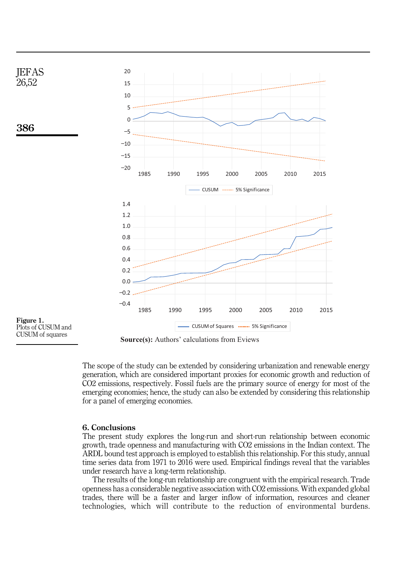<span id="page-10-0"></span>

Plots of CUSUM and CUSUM of squares

**Source(s):** Authors' calculations from Eviews

The scope of the study can be extended by considering urbanization and renewable energy generation, which are considered important proxies for economic growth and reduction of CO2 emissions, respectively. Fossil fuels are the primary source of energy for most of the emerging economies; hence, the study can also be extended by considering this relationship for a panel of emerging economies.

 $\sim$  Significance  $\sim$  Significance  $\sim$ 

#### 6. Conclusions

The present study explores the long-run and short-run relationship between economic growth, trade openness and manufacturing with CO2 emissions in the Indian context. The ARDL bound test approach is employed to establish this relationship. For this study, annual time series data from 1971 to 2016 were used. Empirical findings reveal that the variables under research have a long-term relationship.

The results of the long-run relationship are congruent with the empirical research. Trade openness has a considerable negative association with CO2 emissions. With expanded global trades, there will be a faster and larger inflow of information, resources and cleaner technologies, which will contribute to the reduction of environmental burdens.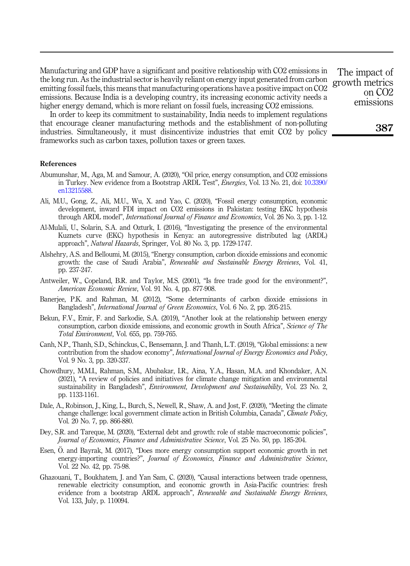Manufacturing and GDP have a significant and positive relationship with CO2 emissions in the long run. As the industrial sector is heavily reliant on energy input generated from carbon emitting fossil fuels, this means that manufacturing operations have a positive impact on CO2 emissions. Because India is a developing country, its increasing economic activity needs a higher energy demand, which is more reliant on fossil fuels, increasing CO2 emissions.

In order to keep its commitment to sustainability, India needs to implement regulations that encourage cleaner manufacturing methods and the establishment of non-polluting industries. Simultaneously, it must disincentivize industries that emit CO2 by policy frameworks such as carbon taxes, pollution taxes or green taxes.

#### References

- <span id="page-11-11"></span>Abumunshar, M., Aga, M. and Samour, A. (2020), "Oil price, energy consumption, and CO2 emissions in Turkey. New evidence from a Bootstrap ARDL Test", Energies, Vol. 13 No. 21, doi: [10.3390/](https://doi.org/10.3390/en13215588) [en13215588.](https://doi.org/10.3390/en13215588)
- <span id="page-11-12"></span>Ali, M.U., Gong, Z., Ali, M.U., Wu, X. and Yao, C. (2020), "Fossil energy consumption, economic development, inward FDI impact on CO2 emissions in Pakistan: testing EKC hypothesis through ARDL model", *International Journal of Finance and Economics*, Vol. 26 No. 3, pp. 1-12.
- <span id="page-11-5"></span>Al-Mulali, U., Solarin, S.A. and Ozturk, I. (2016), "Investigating the presence of the environmental Kuznets curve (EKC) hypothesis in Kenya: an autoregressive distributed lag (ARDL) approach", Natural Hazards, Springer, Vol. 80 No. 3, pp. 1729-1747.
- <span id="page-11-9"></span>Alshehry, A.S. and Belloumi, M. (2015), "Energy consumption, carbon dioxide emissions and economic growth: the case of Saudi Arabia", Renewable and Sustainable Energy Reviews, Vol. 41, pp. 237-247.
- <span id="page-11-3"></span>Antweiler, W., Copeland, B.R. and Taylor, M.S. (2001), "Is free trade good for the environment?", American Economic Review, Vol. 91 No. 4, pp. 877-908.
- <span id="page-11-8"></span>Banerjee, P.K. and Rahman, M. (2012), "Some determinants of carbon dioxide emissions in Bangladesh", International Journal of Green Economics, Vol. 6 No. 2, pp. 205-215.
- <span id="page-11-2"></span>Bekun, F.V., Emir, F. and Sarkodie, S.A. (2019), "Another look at the relationship between energy consumption, carbon dioxide emissions, and economic growth in South Africa", Science of The Total Environment, Vol. 655, pp. 759-765.
- <span id="page-11-4"></span>Canh, N.P., Thanh, S.D., Schinckus, C., Bensemann, J. and Thanh, L.T. (2019), "Global emissions: a new contribution from the shadow economy", International Journal of Energy Economics and Policy, Vol. 9 No. 3, pp. 320-337.
- <span id="page-11-0"></span>Chowdhury, M.M.I., Rahman, S.M., Abubakar, I.R., Aina, Y.A., Hasan, M.A. and Khondaker, A.N. (2021), "A review of policies and initiatives for climate change mitigation and environmental sustainability in Bangladesh", *Environment, Development and Sustainability*, Vol. 23 No. 2, pp. 1133-1161.
- <span id="page-11-1"></span>Dale, A., Robinson, J., King, L., Burch, S., Newell, R., Shaw, A. and Jost, F. (2020), "Meeting the climate change challenge: local government climate action in British Columbia, Canada", Climate Policy, Vol. 20 No. 7, pp. 866-880.
- <span id="page-11-10"></span>Dey, S.R. and Tareque, M. (2020), "External debt and growth: role of stable macroeconomic policies", Journal of Economics, Finance and Administrative Science, Vol. 25 No. 50, pp. 185-204.
- <span id="page-11-7"></span>Esen, O. and Bayrak, M. (2017), "Does more energy consumption support economic growth in net energy-importing countries?", Journal of Economics, Finance and Administrative Science, Vol. 22 No. 42, pp. 75-98.
- <span id="page-11-6"></span>Ghazouani, T., Boukhatem, J. and Yan Sam, C. (2020), "Causal interactions between trade openness, renewable electricity consumption, and economic growth in Asia-Pacific countries: fresh evidence from a bootstrap ARDL approach", Renewable and Sustainable Energy Reviews, Vol. 133, July, p. 110094.

The impact of growth metrics on CO2 emissions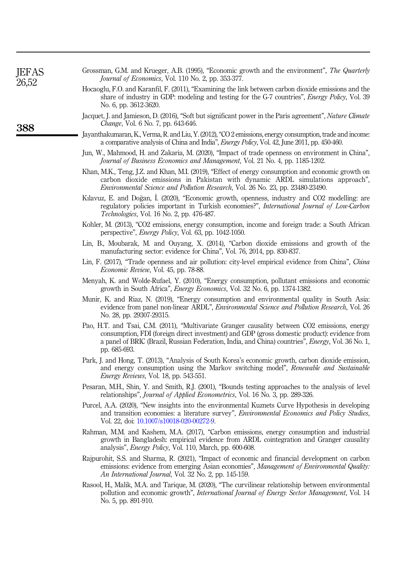<span id="page-12-18"></span><span id="page-12-17"></span><span id="page-12-16"></span><span id="page-12-15"></span><span id="page-12-14"></span><span id="page-12-13"></span><span id="page-12-12"></span><span id="page-12-11"></span><span id="page-12-10"></span><span id="page-12-9"></span><span id="page-12-8"></span><span id="page-12-7"></span><span id="page-12-6"></span><span id="page-12-5"></span><span id="page-12-4"></span><span id="page-12-3"></span><span id="page-12-2"></span><span id="page-12-1"></span><span id="page-12-0"></span>

| <b>JEFAS</b><br>26,52 | Grossman, G.M. and Krueger, A.B. (1995), "Economic growth and the environment", The Quarterly<br><i>Journal of Economics</i> , Vol. 110 No. 2, pp. 353-377.                                                                                                                                                                 |
|-----------------------|-----------------------------------------------------------------------------------------------------------------------------------------------------------------------------------------------------------------------------------------------------------------------------------------------------------------------------|
|                       | Hocaoglu, F.O. and Karanfil, F. (2011), "Examining the link between carbon dioxide emissions and the<br>share of industry in GDP: modeling and testing for the G-7 countries", <i>Energy Policy</i> , Vol. 39<br>No. 6, pp. 3612-3620.                                                                                      |
| 388                   | Jacquet, J. and Jamieson, D. (2016), "Soft but significant power in the Paris agreement", Nature Climate<br><i>Change</i> , Vol. 6 No. 7, pp. 643-646.                                                                                                                                                                      |
|                       | Jayanthakumaran, K., Verma, R. and Liu, Y. (2012), "CO 2 emissions, energy consumption, trade and income:<br>a comparative analysis of China and India", <i>Energy Policy</i> , Vol. 42, June 2011, pp. 450-460.                                                                                                            |
|                       | Jun, W., Mahmood, H. and Zakaria, M. (2020), "Impact of trade openness on environment in China",<br>Journal of Business Economics and Management, Vol. 21 No. 4, pp. 1185-1202.                                                                                                                                             |
|                       | Khan, M.K., Teng, J.Z. and Khan, M.I. (2019), "Effect of energy consumption and economic growth on<br>carbon dioxide emissions in Pakistan with dynamic ARDL simulations approach",<br><i>Environmental Science and Pollution Research, Vol. 26 No. 23, pp. 23480-23490.</i>                                                |
|                       | Kilavuz, E. and Doğan, I. (2020), "Economic growth, openness, industry and CO2 modelling: are<br>regulatory policies important in Turkish economies?", International Journal of Low-Carbon<br>Technologies, Vol. 16 No. 2, pp. 476-487.                                                                                     |
|                       | Kohler, M. (2013), "CO2 emissions, energy consumption, income and foreign trade: a South African<br>perspective", <i>Energy Policy</i> , Vol. 63, pp. 1042-1050.                                                                                                                                                            |
|                       | Lin, B., Moubarak, M. and Ouyang, X. (2014), "Carbon dioxide emissions and growth of the<br>manufacturing sector: evidence for China", Vol. 76, 2014, pp. 830-837.                                                                                                                                                          |
|                       | Lin, F. (2017), "Trade openness and air pollution: city-level empirical evidence from China", China<br>Economic Review, Vol. 45, pp. 78-88.                                                                                                                                                                                 |
|                       | Menyah, K. and Wolde-Rufael, Y. (2010), "Energy consumption, pollutant emissions and economic<br>growth in South Africa", Energy Economics, Vol. 32 No. 6, pp. 1374-1382.                                                                                                                                                   |
|                       | Munir, K. and Riaz, N. (2019), "Energy consumption and environmental quality in South Asia:<br>evidence from panel non-linear ARDL", <i>Environmental Science and Pollution Research</i> , Vol. 26<br>No. 28, pp. 29307-29315.                                                                                              |
|                       | Pao, H.T. and Tsai, C.M. (2011), "Multivariate Granger causality between CO2 emissions, energy<br>consumption, FDI (foreign direct investment) and GDP (gross domestic product): evidence from<br>a panel of BRIC (Brazil, Russian Federation, India, and China) countries", <i>Energy</i> , Vol. 36 No. 1,<br>pp. 685-693. |
|                       | Park, J. and Hong, T. (2013), "Analysis of South Korea's economic growth, carbon dioxide emission,<br>and energy consumption using the Markov switching model", Renewable and Sustainable<br><i>Energy Reviews, Vol. 18, pp. 543-551.</i>                                                                                   |
|                       | Pesaran, M.H., Shin, Y. and Smith, R.J. (2001), "Bounds testing approaches to the analysis of level<br>relationships", <i>Journal of Applied Econometrics</i> , Vol. 16 No. 3, pp. 289-326.                                                                                                                                 |
|                       | Purcel, A.A. (2020), "New insights into the environmental Kuznets Curve Hypothesis in developing<br>and transition economies: a literature survey", <i>Environmental Economics and Policy Studies</i> ,<br>Vol. 22, doi: 10.1007/s10018-020-00272-9.                                                                        |
|                       | Rahman, M.M. and Kashem, M.A. (2017), "Carbon emissions, energy consumption and industrial<br>growth in Bangladesh: empirical evidence from ARDL cointegration and Granger causality<br>analysis", <i>Energy Policy</i> , Vol. 110, March, pp. 600-608.                                                                     |
|                       | Rajpurohit, S.S. and Sharma, R. (2021), "Impact of economic and financial development on carbon<br>emissions: evidence from emerging Asian economies", Management of Environmental Quality:<br>An International Journal, Vol. 32 No. 2, pp. 145-159.                                                                        |
|                       | Rasool, H., Malik, M.A. and Tarique, M. (2020), "The curvilinear relationship between environmental<br>pollution and economic growth", International Journal of Energy Sector Management, Vol. 14<br>No. 5, pp. 891-910.                                                                                                    |
|                       |                                                                                                                                                                                                                                                                                                                             |